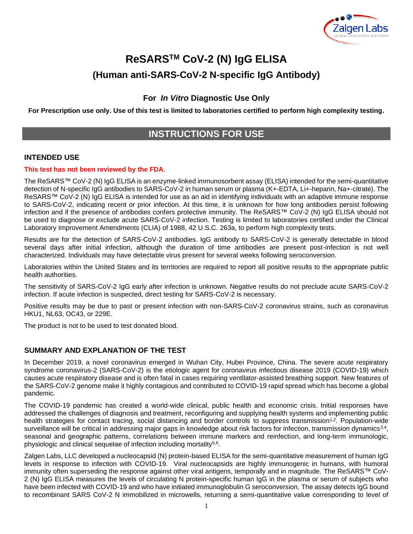

# **ReSARSTM CoV-2 (N) IgG ELISA (Human anti-SARS-CoV-2 N-specific IgG Antibody)**

**For** *In Vitro* **Diagnostic Use Only**

**For Prescription use only. Use of this test is limited to laboratories certified to perform high complexity testing.**

# **INSTRUCTIONS FOR USE**

#### **INTENDED USE**

#### **This test has not been reviewed by the FDA**.

The ReSARS™ CoV-2 (N) IgG ELISA is an enzyme-linked immunosorbent assay (ELISA) intended for the semi-quantitative detection of N-specific IgG antibodies to SARS-CoV-2 in human serum or plasma (K+-EDTA, Li+-heparin, Na+-citrate). The ReSARS™ CoV-2 (N) IgG ELISA is intended for use as an aid in identifying individuals with an adaptive immune response to SARS-CoV-2, indicating recent or prior infection. At this time, it is unknown for how long antibodies persist following infection and if the presence of antibodies confers protective immunity. The ReSARS™ CoV-2 (N) IgG ELISA should not be used to diagnose or exclude acute SARS-CoV-2 infection. Testing is limited to laboratories certified under the Clinical Laboratory Improvement Amendments (CLIA) of 1988, 42 U.S.C. 263a, to perform high complexity tests.

Results are for the detection of SARS-CoV-2 antibodies. IgG antibody to SARS-CoV-2 is generally detectable in blood several days after initial infection, although the duration of time antibodies are present post-infection is not well characterized. Individuals may have detectable virus present for several weeks following seroconversion.

Laboratories within the United States and its territories are required to report all positive results to the appropriate public health authorities.

The sensitivity of SARS-CoV-2 IgG early after infection is unknown. Negative results do not preclude acute SARS-CoV-2 infection. If acute infection is suspected, direct testing for SARS-CoV-2 is necessary.

Positive results may be due to past or present infection with non-SARS-CoV-2 coronavirus strains, such as coronavirus HKU1, NL63, OC43, or 229E.

The product is not to be used to test donated blood.

#### **SUMMARY AND EXPLANATION OF THE TEST**

In December 2019, a novel coronavirus emerged in Wuhan City, Hubei Province, China. The severe acute respiratory syndrome coronavirus-2 (SARS-CoV-2) is the etiologic agent for coronavirus infectious disease 2019 (COVID-19) which causes acute respiratory disease and is often fatal in cases requiring ventilator-assisted breathing support. New features of the SARS-CoV-2 genome make it highly contagious and contributed to COVID-19 rapid spread which has become a global pandemic.

The COVID-19 pandemic has created a world-wide clinical, public health and economic crisis. Initial responses have addressed the challenges of diagnosis and treatment, reconfiguring and supplying health systems and implementing public health strategies for contact tracing, social distancing and border controls to suppress transmission<sup>1,2</sup>. Population-wide surveillance will be critical in addressing major gaps in knowledge about risk factors for infection, transmission dynamics<sup>3,4</sup>, seasonal and geographic patterns, correlations between immune markers and reinfection, and long-term immunologic, physiologic and clinical sequelae of infection including mortality<sup>5,6</sup>.

Zalgen Labs, LLC developed a nucleocapsid (N) protein-based ELISA for the semi-quantitative measurement of human IgG levels in response to infection with COVID-19. Viral nucleocapsids are highly immunogenic in humans, with humoral immunity often superseding the response against other viral antigens, temporally and in magnitude. The ReSARS™ CoV-2 (N) IgG ELISA measures the levels of circulating N protein-specific human IgG in the plasma or serum of subjects who have been infected with COVID-19 and who have initiated immunoglobulin G seroconversion. The assay detects IgG bound to recombinant SARS CoV-2 N immobilized in microwells, returning a semi-quantitative value corresponding to level of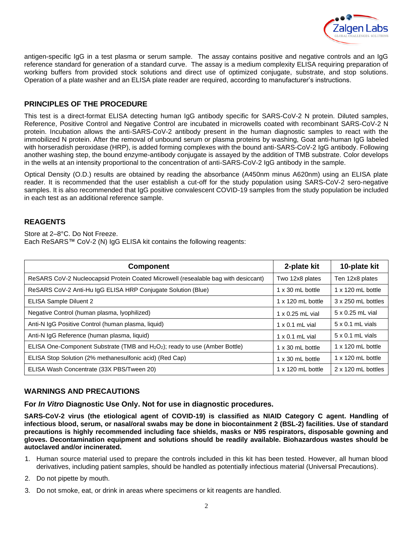

antigen-specific IgG in a test plasma or serum sample. The assay contains positive and negative controls and an IgG reference standard for generation of a standard curve. The assay is a medium complexity ELISA requiring preparation of working buffers from provided stock solutions and direct use of optimized conjugate, substrate, and stop solutions. Operation of a plate washer and an ELISA plate reader are required, according to manufacturer's instructions.

# **PRINCIPLES OF THE PROCEDURE**

This test is a direct-format ELISA detecting human IgG antibody specific for SARS-CoV-2 N protein. Diluted samples, Reference, Positive Control and Negative Control are incubated in microwells coated with recombinant SARS-CoV-2 N protein. Incubation allows the anti-SARS-CoV-2 antibody present in the human diagnostic samples to react with the immobilized N protein. After the removal of unbound serum or plasma proteins by washing, Goat anti-human IgG labeled with horseradish peroxidase (HRP), is added forming complexes with the bound anti-SARS-CoV-2 IgG antibody. Following another washing step, the bound enzyme-antibody conjugate is assayed by the addition of TMB substrate. Color develops in the wells at an intensity proportional to the concentration of anti-SARS-CoV-2 IgG antibody in the sample.

Optical Density (O.D.) results are obtained by reading the absorbance (A450nm minus A620nm) using an ELISA plate reader. It is recommended that the user establish a cut-off for the study population using SARS-CoV-2 sero-negative samples. It is also recommended that IgG positive convalescent COVID-19 samples from the study population be included in each test as an additional reference sample.

#### **REAGENTS**

Store at 2–8°C. Do Not Freeze. Each ReSARS™ CoV-2 (N) IgG ELISA kit contains the following reagents:

| <b>Component</b>                                                                   | 2-plate kit              | 10-plate kit             |
|------------------------------------------------------------------------------------|--------------------------|--------------------------|
| ReSARS CoV-2 Nucleocapsid Protein Coated Microwell (resealable bag with desiccant) | Two 12x8 plates          | Ten 12x8 plates          |
| ReSARS CoV-2 Anti-Hu IgG ELISA HRP Conjugate Solution (Blue)                       | $1 \times 30$ mL bottle  | $1 \times 120$ mL bottle |
| ELISA Sample Diluent 2                                                             | $1 \times 120$ mL bottle | 3 x 250 mL bottles       |
| Negative Control (human plasma, lyophilized)                                       | $1 \times 0.25$ mL vial  | 5 x 0.25 mL vial         |
| Anti-N IgG Positive Control (human plasma, liquid)                                 | $1 \times 0.1$ mL vial   | $5 \times 0.1$ mL vials  |
| Anti-N IgG Reference (human plasma, liquid)                                        | $1 \times 0.1$ mL vial   | $5 \times 0.1$ mL vials  |
| ELISA One-Component Substrate (TMB and $H_2O_2$ ); ready to use (Amber Bottle)     | $1 \times 30$ mL bottle  | $1 \times 120$ mL bottle |
| ELISA Stop Solution (2% methanesulfonic acid) (Red Cap)                            | $1 \times 30$ mL bottle  | $1 \times 120$ mL bottle |
| ELISA Wash Concentrate (33X PBS/Tween 20)                                          | $1 \times 120$ mL bottle | 2 x 120 mL bottles       |

# **WARNINGS AND PRECAUTIONS**

**For** *In Vitro* **Diagnostic Use Only. Not for use in diagnostic procedures.**

**SARS-CoV-2 virus (the etiological agent of COVID-19) is classified as NIAID Category C agent. Handling of infectious blood, serum, or nasal/oral swabs may be done in biocontainment 2 (BSL-2) facilities. Use of standard precautions is highly recommended including face shields, masks or N95 respirators, disposable gowning and gloves. Decontamination equipment and solutions should be readily available. Biohazardous wastes should be autoclaved and/or incinerated.**

- 1. Human source material used to prepare the controls included in this kit has been tested. However, all human blood derivatives, including patient samples, should be handled as potentially infectious material (Universal Precautions).
- 2. Do not pipette by mouth.
- 3. Do not smoke, eat, or drink in areas where specimens or kit reagents are handled.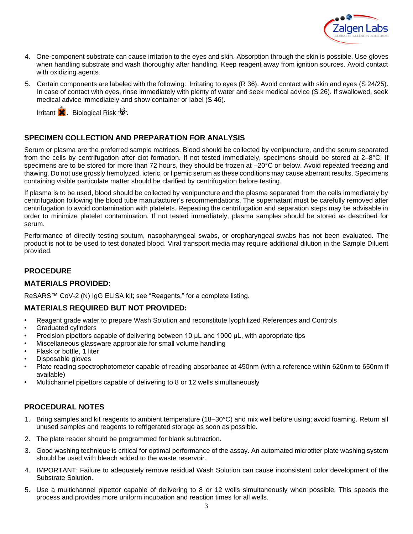

- 4. One-component substrate can cause irritation to the eyes and skin. Absorption through the skin is possible. Use gloves when handling substrate and wash thoroughly after handling. Keep reagent away from ignition sources. Avoid contact with oxidizing agents.
- 5. Certain components are labeled with the following: Irritating to eyes (R 36). Avoid contact with skin and eyes (S 24/25). In case of contact with eyes, rinse immediately with plenty of water and seek medical advice (S 26). If swallowed, seek medical advice immediately and show container or label (S 46).

Irritant  $\mathbf{\times}$ . Biological Risk  $\mathbf{\otimes}$ .

#### **SPECIMEN COLLECTION AND PREPARATION FOR ANALYSIS**

Serum or plasma are the preferred sample matrices. Blood should be collected by venipuncture, and the serum separated from the cells by centrifugation after clot formation. If not tested immediately, specimens should be stored at 2–8°C. If specimens are to be stored for more than 72 hours, they should be frozen at  $-20^{\circ}$ C or below. Avoid repeated freezing and thawing. Do not use grossly hemolyzed, icteric, or lipemic serum as these conditions may cause aberrant results. Specimens containing visible particulate matter should be clarified by centrifugation before testing.

If plasma is to be used, blood should be collected by venipuncture and the plasma separated from the cells immediately by centrifugation following the blood tube manufacturer's recommendations. The supernatant must be carefully removed after centrifugation to avoid contamination with platelets. Repeating the centrifugation and separation steps may be advisable in order to minimize platelet contamination. If not tested immediately, plasma samples should be stored as described for serum. **ET ERNES Broopters and Provides And PREPARATION FOR ANALYSIS**<br>
The relation COLLECTION AND PREPARATION FOR ANALYSIS<br>
Im or plasma are the preferred sample matrices. Blood should be collected in the cells by centrifugation

Performance of directly testing sputum, nasopharyngeal swabs, or oropharyngeal swabs has not been evaluated. The product is not to be used to test donated blood. Viral transport media may require additional dilution in the Sample Diluent provided.

#### **PROCEDURE**

#### **MATERIALS PROVIDED:**

ReSARS™ CoV-2 (N) IgG ELISA kit; see "Reagents," for a complete listing.

#### **MATERIALS REQUIRED BUT NOT PROVIDED:**

- Reagent grade water to prepare Wash Solution and reconstitute lyophilized References and Controls
- Graduated cylinders
- Precision pipettors capable of delivering between 10 μL and 1000 μL, with appropriate tips
- Miscellaneous glassware appropriate for small volume handling
- Flask or bottle, 1 liter
- Disposable gloves
- Plate reading spectrophotometer capable of reading absorbance at 450nm (with a reference within 620nm to 650nm if available)
- Multichannel pipettors capable of delivering to 8 or 12 wells simultaneously

#### **PROCEDURAL NOTES**

- 1. Bring samples and kit reagents to ambient temperature (18–30°C) and mix well before using; avoid foaming. Return all unused samples and reagents to refrigerated storage as soon as possible.
- 2. The plate reader should be programmed for blank subtraction.
- 3. Good washing technique is critical for optimal performance of the assay. An automated microtiter plate washing system should be used with bleach added to the waste reservoir.
- 4. IMPORTANT: Failure to adequately remove residual Wash Solution can cause inconsistent color development of the Substrate Solution.
- 5. Use a multichannel pipettor capable of delivering to 8 or 12 wells simultaneously when possible. This speeds the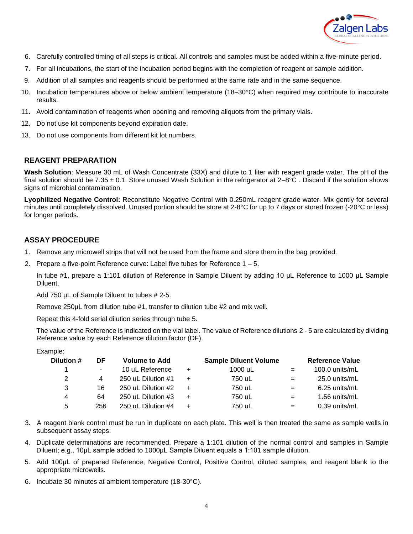

- 6. Carefully controlled timing of all steps is critical. All controls and samples must be added within a five-minute period.
- 7. For all incubations, the start of the incubation period begins with the completion of reagent or sample addition.
- 9. Addition of all samples and reagents should be performed at the same rate and in the same sequence.
- 10. Incubation temperatures above or below ambient temperature (18–30°C) when required may contribute to inaccurate results.
- 11. Avoid contamination of reagents when opening and removing aliquots from the primary vials.
- 12. Do not use kit components beyond expiration date.
- 13. Do not use components from different kit lot numbers.

#### **REAGENT PREPARATION**

**Wash Solution**: Measure 30 mL of Wash Concentrate (33X) and dilute to 1 liter with reagent grade water. The pH of the final solution should be  $7.35 \pm 0.1$ . Store unused Wash Solution in the refrigerator at  $2-8^{\circ}$ C. Discard if the solution shows signs of microbial contamination.

**Lyophilized Negative Control:** Reconstitute Negative Control with 0.250mL reagent grade water. Mix gently for several minutes until completely dissolved. Unused portion should be store at 2-8°C for up to 7 days or stored frozen (-20°C or less) for longer periods.

# **ASSAY PROCEDURE**

- 1. Remove any microwell strips that will not be used from the frame and store them in the bag provided.
- 2. Prepare a five-point Reference curve: Label five tubes for Reference 1 5.

In tube #1, prepare a 1:101 dilution of Reference in Sample Diluent by adding 10 μL Reference to 1000 μL Sample Diluent.

Add 750 µL of Sample Diluent to tubes # 2-5.

Remove 250µL from dilution tube #1, transfer to dilution tube #2 and mix well.

Repeat this 4-fold serial dilution series through tube 5.

The value of the Reference is indicated on the vial label. The value of Reference dilutions 2 - 5 are calculated by dividing Reference value by each Reference dilution factor (DF).

Example:

| Dilution # | DF     | <b>Volume to Add</b> |           | <b>Sample Diluent Volume</b> |     | <b>Reference Value</b> |
|------------|--------|----------------------|-----------|------------------------------|-----|------------------------|
|            | $\sim$ | 10 uL Reference      | $\ddot{}$ | 1000 uL                      | $=$ | 100.0 units/mL         |
| 2          | 4      | 250 uL Dilution #1   | $+$       | 750 uL                       | $=$ | 25.0 units/mL          |
| 3          | 16     | 250 uL Dilution #2   | $+$       | 750 uL                       | $=$ | 6.25 units/mL          |
| 4          | 64     | 250 uL Dilution #3   | $\ddot{}$ | 750 uL                       | $=$ | 1.56 units/mL          |
| 5          | 256    | 250 uL Dilution #4   | $\ddot{}$ | 750 uL                       | $=$ | 0.39 units/mL          |

- 3. A reagent blank control must be run in duplicate on each plate. This well is then treated the same as sample wells in subsequent assay steps.
- 4. Duplicate determinations are recommended. Prepare a 1:101 dilution of the normal control and samples in Sample Diluent; e.g., 10μL sample added to 1000μL Sample Diluent equals a 1:101 sample dilution.
- 5. Add 100μL of prepared Reference, Negative Control, Positive Control, diluted samples, and reagent blank to the appropriate microwells.
- 6. Incubate 30 minutes at ambient temperature (18-30°C).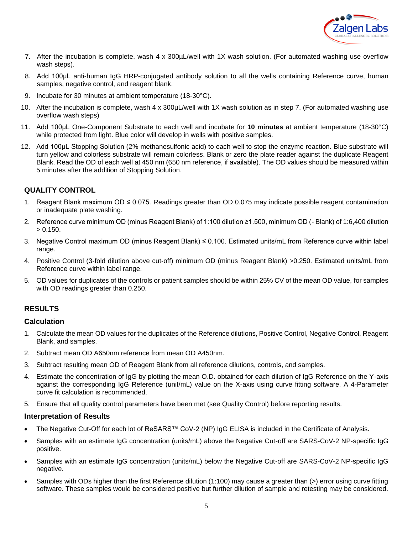

- 7. After the incubation is complete, wash 4 x 300µL/well with 1X wash solution. (For automated washing use overflow wash steps).
- 8. Add 100μL anti-human IgG HRP-conjugated antibody solution to all the wells containing Reference curve, human samples, negative control, and reagent blank.
- 9. Incubate for 30 minutes at ambient temperature (18-30°C).
- 10. After the incubation is complete, wash 4 x 300µL/well with 1X wash solution as in step 7. (For automated washing use overflow wash steps)
- 11. Add 100μL One-Component Substrate to each well and incubate for **10 minutes** at ambient temperature (18-30°C) while protected from light. Blue color will develop in wells with positive samples.
- 12. Add 100µL Stopping Solution (2% methanesulfonic acid) to each well to stop the enzyme reaction. Blue substrate will turn yellow and colorless substrate will remain colorless. Blank or zero the plate reader against the duplicate Reagent Blank. Read the OD of each well at 450 nm (650 nm reference, if available). The OD values should be measured within 5 minutes after the addition of Stopping Solution.

# **QUALITY CONTROL**

- 1. Reagent Blank maximum OD ≤ 0.075. Readings greater than OD 0.075 may indicate possible reagent contamination or inadequate plate washing.
- 2. Reference curve minimum OD (minus Reagent Blank) of 1:100 dilution ≥1.500, minimum OD (- Blank) of 1:6,400 dilution  $> 0.150$ .
- 3. Negative Control maximum OD (minus Reagent Blank) ≤ 0.100. Estimated units/mL from Reference curve within label range.
- 4. Positive Control (3-fold dilution above cut-off) minimum OD (minus Reagent Blank) >0.250. Estimated units/mL from Reference curve within label range.
- 5. OD values for duplicates of the controls or patient samples should be within 25% CV of the mean OD value, for samples with OD readings greater than 0.250.

#### **RESULTS**

#### **Calculation**

- 1. Calculate the mean OD values for the duplicates of the Reference dilutions, Positive Control, Negative Control, Reagent Blank, and samples.
- 2. Subtract mean OD A650nm reference from mean OD A450nm.
- 3. Subtract resulting mean OD of Reagent Blank from all reference dilutions, controls, and samples.
- 4. Estimate the concentration of IgG by plotting the mean O.D. obtained for each dilution of IgG Reference on the Y-axis against the corresponding IgG Reference (unit/mL) value on the X-axis using curve fitting software. A 4-Parameter curve fit calculation is recommended.
- 5. Ensure that all quality control parameters have been met (see Quality Control) before reporting results.

#### **Interpretation of Results**

- The Negative Cut-Off for each lot of ReSARS™ CoV-2 (NP) IgG ELISA is included in the Certificate of Analysis.
- Samples with an estimate IgG concentration (units/mL) above the Negative Cut-off are SARS-CoV-2 NP-specific IgG positive.
- Samples with an estimate IgG concentration (units/mL) below the Negative Cut-off are SARS-CoV-2 NP-specific IgG negative.
- Samples with ODs higher than the first Reference dilution (1:100) may cause a greater than (>) error using curve fitting software. These samples would be considered positive but further dilution of sample and retesting may be considered.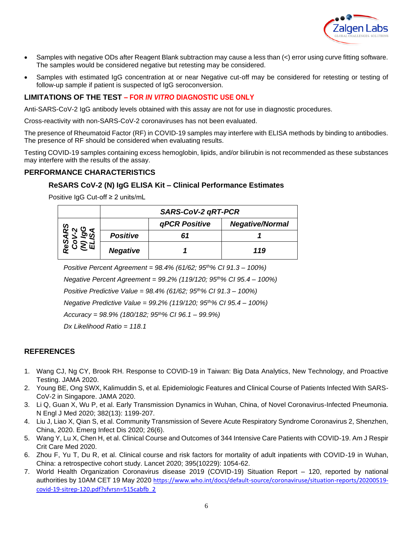

- Samples with negative ODs after Reagent Blank subtraction may cause a less than  $\langle$  error using curve fitting software. The samples would be considered negative but retesting may be considered.
- Samples with estimated IgG concentration at or near Negative cut-off may be considered for retesting or testing of follow-up sample if patient is suspected of IgG seroconversion.

# **LIMITATIONS OF THE TEST – FOR** *IN VITRO* **DIAGNOSTIC USE ONLY**

Anti-SARS-CoV-2 IgG antibody levels obtained with this assay are not for use in diagnostic procedures.

Cross-reactivity with non-SARS-CoV-2 coronaviruses has not been evaluated.

The presence of Rheumatoid Factor (RF) in COVID-19 samples may interfere with ELISA methods by binding to antibodies. The presence of RF should be considered when evaluating results.

Testing COVID-19 samples containing excess hemoglobin, lipids, and/or bilirubin is not recommended as these substances may interfere with the results of the assay.

#### **PERFORMANCE CHARACTERISTICS**

#### **ReSARS CoV-2 (N) IgG ELISA Kit – Clinical Performance Estimates**

Positive IgG Cut-off ≥ 2 units/mL

|         | SARS-CoV-2 gRT-PCR |               |                        |  |  |  |
|---------|--------------------|---------------|------------------------|--|--|--|
| v,<br>ω |                    | qPCR Positive | <b>Negative/Normal</b> |  |  |  |
|         | <b>Positive</b>    |               |                        |  |  |  |
|         | <b>Negative</b>    |               | 119                    |  |  |  |

*Positive Percent Agreement = 98.4% (61/62; 95th% CI 91.3 – 100%)*

*Negative Percent Agreement = 99.2% (119/120; 95th% CI 95.4 – 100%)*

*Positive Predictive Value = 98.4% (61/62; 95th% CI 91.3 – 100%)*

*Negative Predictive Value = 99.2% (119/120; 95th% CI 95.4 – 100%)*

*Accuracy = 98.9% (180/182; 95th% CI 96.1 – 99.9%)*

*Dx Likelihood Ratio = 118.1*

#### **REFERENCES**

- 1. Wang CJ, Ng CY, Brook RH. Response to COVID-19 in Taiwan: Big Data Analytics, New Technology, and Proactive Testing. JAMA 2020.
- 2. Young BE, Ong SWX, Kalimuddin S, et al. Epidemiologic Features and Clinical Course of Patients Infected With SARS-CoV-2 in Singapore. JAMA 2020.
- 3. Li Q, Guan X, Wu P, et al. Early Transmission Dynamics in Wuhan, China, of Novel Coronavirus-Infected Pneumonia. N Engl J Med 2020; 382(13): 1199-207.
- 4. Liu J, Liao X, Qian S, et al. Community Transmission of Severe Acute Respiratory Syndrome Coronavirus 2, Shenzhen, China, 2020. Emerg Infect Dis 2020; 26(6).
- 5. Wang Y, Lu X, Chen H, et al. Clinical Course and Outcomes of 344 Intensive Care Patients with COVID-19. Am J Respir Crit Care Med 2020.
- 6. Zhou F, Yu T, Du R, et al. Clinical course and risk factors for mortality of adult inpatients with COVID-19 in Wuhan, China: a retrospective cohort study. Lancet 2020; 395(10229): 1054-62.
- 7. World Health Organization Coronavirus disease 2019 (COVID-19) Situation Report 120, reported by national authorities by 10AM CET 19 May 2020 [https://www.who.int/docs/default-source/coronaviruse/situation-reports/20200519](https://www.who.int/docs/default-source/coronaviruse/situation-reports/20200519-covid-19-sitrep-120.pdf?sfvrsn=515cabfb_2) [covid-19-sitrep-120.pdf?sfvrsn=515cabfb\\_2](https://www.who.int/docs/default-source/coronaviruse/situation-reports/20200519-covid-19-sitrep-120.pdf?sfvrsn=515cabfb_2)